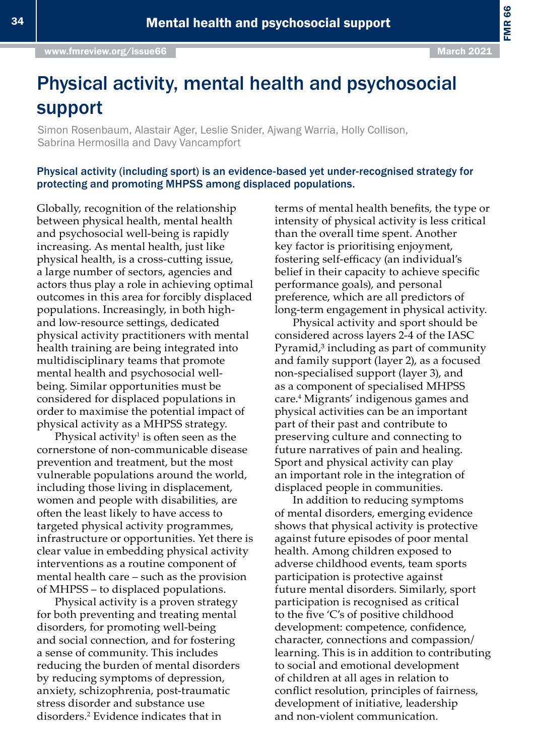# Physical activity, mental health and psychosocial support

Simon Rosenbaum, Alastair Ager, Leslie Snider, Ajwang Warria, Holly Collison, Sabrina Hermosilla and Davy Vancampfort

#### Physical activity (including sport) is an evidence-based yet under-recognised strategy for protecting and promoting MHPSS among displaced populations.

Globally, recognition of the relationship between physical health, mental health and psychosocial well-being is rapidly increasing. As mental health, just like physical health, is a cross-cutting issue, a large number of sectors, agencies and actors thus play a role in achieving optimal outcomes in this area for forcibly displaced populations. Increasingly, in both highand low-resource settings, dedicated physical activity practitioners with mental health training are being integrated into multidisciplinary teams that promote mental health and psychosocial wellbeing. Similar opportunities must be considered for displaced populations in order to maximise the potential impact of physical activity as a MHPSS strategy.

Physical activity<sup>1</sup> is often seen as the cornerstone of non-communicable disease prevention and treatment, but the most vulnerable populations around the world, including those living in displacement, women and people with disabilities, are often the least likely to have access to targeted physical activity programmes, infrastructure or opportunities. Yet there is clear value in embedding physical activity interventions as a routine component of mental health care – such as the provision of MHPSS – to displaced populations.

Physical activity is a proven strategy for both preventing and treating mental disorders, for promoting well-being and social connection, and for fostering a sense of community. This includes reducing the burden of mental disorders by reducing symptoms of depression, anxiety, schizophrenia, post-traumatic stress disorder and substance use disorders.<sup>2</sup> Evidence indicates that in

terms of mental health benefits, the type or intensity of physical activity is less critical than the overall time spent. Another key factor is prioritising enjoyment, fostering self-efficacy (an individual's belief in their capacity to achieve specific performance goals), and personal preference, which are all predictors of long-term engagement in physical activity.

Physical activity and sport should be considered across layers 2-4 of the IASC Pyramid,<sup>3</sup> including as part of community and family support (layer 2), as a focused non-specialised support (layer 3), and as a component of specialised MHPSS care.4 Migrants' indigenous games and physical activities can be an important part of their past and contribute to preserving culture and connecting to future narratives of pain and healing. Sport and physical activity can play an important role in the integration of displaced people in communities.

In addition to reducing symptoms of mental disorders, emerging evidence shows that physical activity is protective against future episodes of poor mental health. Among children exposed to adverse childhood events, team sports participation is protective against future mental disorders. Similarly, sport participation is recognised as critical to the five 'C's of positive childhood development: competence, confidence, character, connections and compassion/ learning. This is in addition to contributing to social and emotional development of children at all ages in relation to conflict resolution, principles of fairness, development of initiative, leadership and non-violent communication.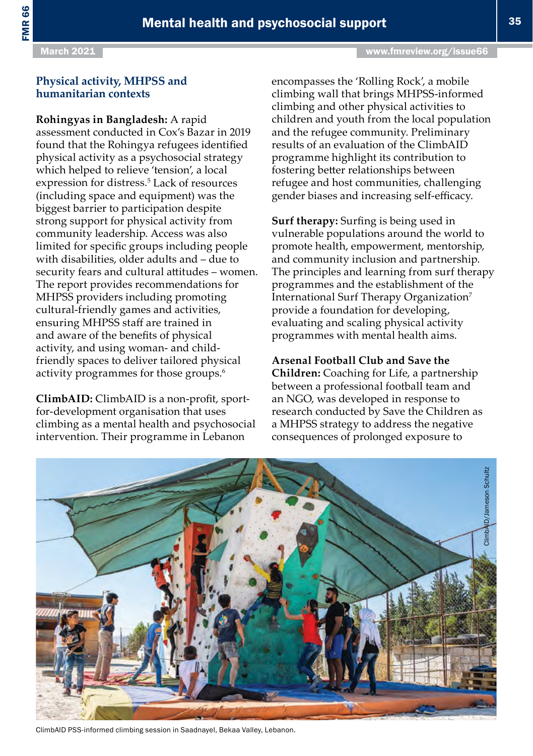#### March 2021 **[www.fmreview.org/issue66](https://www.fmreview.org/issue66)**

# **Physical activity, MHPSS and humanitarian contexts**

# **Rohingyas in Bangladesh:** A rapid

assessment conducted in Cox's Bazar in 2019 found that the Rohingya refugees identified physical activity as a psychosocial strategy which helped to relieve 'tension', a local expression for distress.<sup>5</sup> Lack of resources (including space and equipment) was the biggest barrier to participation despite strong support for physical activity from community leadership. Access was also limited for specific groups including people with disabilities, older adults and – due to security fears and cultural attitudes – women. The report provides recommendations for MHPSS providers including promoting cultural-friendly games and activities, ensuring MHPSS staff are trained in and aware of the benefits of physical activity, and using woman- and childfriendly spaces to deliver tailored physical activity programmes for those groups.<sup>6</sup>

**ClimbAID:** ClimbAID is a non-profit, sportfor-development organisation that uses climbing as a mental health and psychosocial intervention. Their programme in Lebanon

encompasses the 'Rolling Rock', a mobile climbing wall that brings MHPSS-informed climbing and other physical activities to children and youth from the local population and the refugee community. Preliminary results of an evaluation of the ClimbAID programme highlight its contribution to fostering better relationships between refugee and host communities, challenging gender biases and increasing self-efficacy.

**Surf therapy:** Surfing is being used in vulnerable populations around the world to promote health, empowerment, mentorship, and community inclusion and partnership. The principles and learning from surf therapy programmes and the establishment of the International Surf Therapy Organization<sup>7</sup> provide a foundation for developing, evaluating and scaling physical activity programmes with mental health aims.

### **Arsenal Football Club and Save the**

**Children:** Coaching for Life, a partnership between a professional football team and an NGO, was developed in response to research conducted by Save the Children as a MHPSS strategy to address the negative consequences of prolonged exposure to



ClimbAID PSS-informed climbing session in Saadnayel, Bekaa Valley, Lebanon.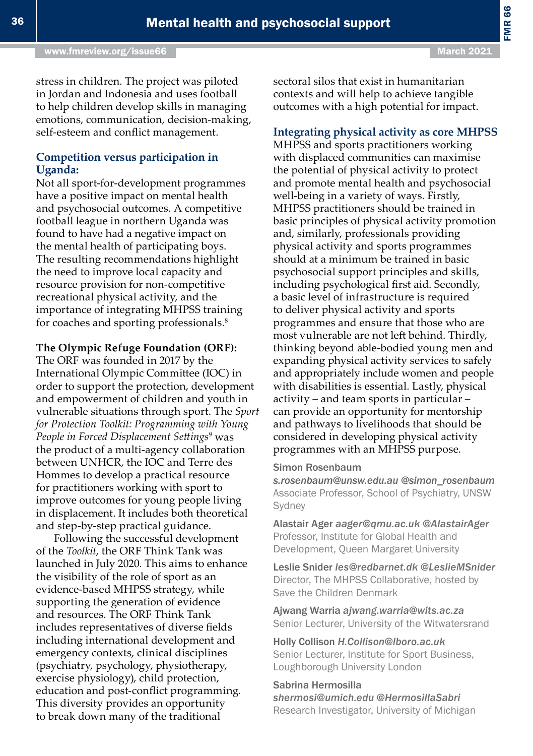#### **Integrating physical activity as core MHPSS**

MHPSS and sports practitioners working with displaced communities can maximise the potential of physical activity to protect and promote mental health and psychosocial well-being in a variety of ways. Firstly, MHPSS practitioners should be trained in basic principles of physical activity promotion and, similarly, professionals providing physical activity and sports programmes should at a minimum be trained in basic psychosocial support principles and skills, including psychological first aid. Secondly, a basic level of infrastructure is required to deliver physical activity and sports programmes and ensure that those who are most vulnerable are not left behind. Thirdly, thinking beyond able-bodied young men and expanding physical activity services to safely and appropriately include women and people with disabilities is essential. Lastly, physical activity – and team sports in particular – can provide an opportunity for mentorship and pathways to livelihoods that should be considered in developing physical activity programmes with an MHPSS purpose.

#### Simon Rosenbaum

*[s.rosenbaum@unsw.edu.au](mailto:s.rosenbaum@unsw.edu.au) @simon\_rosenbaum* Associate Professor, School of Psychiatry, UNSW Sydney

Alastair Ager *[aager@qmu.ac.uk](mailto:aager@qmu.ac.uk) @AlastairAger* Professor, Institute for Global Health and Development, Queen Margaret University

Leslie Snider *[les@redbarnet.dk](mailto:les@redbarnet.dk) @LeslieMSnider* Director, The MHPSS Collaborative, hosted by Save the Children Denmark

Ajwang Warria *[ajwang.warria@wits.ac.za](mailto:ajwang.warria@wits.ac.za)* Senior Lecturer, University of the Witwatersrand

Holly Collison *[H.Collison@lboro.ac.uk](mailto:H.Collison@lboro.ac.uk)* Senior Lecturer, Institute for Sport Business, Loughborough University London

#### Sabrina Hermosilla

*[shermosi@umich.edu](mailto:shermosi@umich.edu) @HermosillaSabri* Research Investigator, University of Michigan

stress in children. The project was piloted in Jordan and Indonesia and uses football to help children develop skills in managing emotions, communication, decision-making, self-esteem and conflict management.

### **Competition versus participation in Uganda:**

Not all sport-for-development programmes have a positive impact on mental health and psychosocial outcomes. A competitive football league in northern Uganda was found to have had a negative impact on the mental health of participating boys. The resulting recommendations highlight the need to improve local capacity and resource provision for non-competitive recreational physical activity, and the importance of integrating MHPSS training for coaches and sporting professionals.<sup>8</sup>

#### **The Olympic Refuge Foundation (ORF):**

The ORF was founded in 2017 by the International Olympic Committee (IOC) in order to support the protection, development and empowerment of children and youth in vulnerable situations through sport. The *Sport for Protection Toolkit: Programming with Young People in Forced Displacement Settings*<sup>9</sup> was the product of a multi-agency collaboration between UNHCR, the IOC and Terre des Hommes to develop a practical resource for practitioners working with sport to improve outcomes for young people living in displacement. It includes both theoretical and step-by-step practical guidance.

Following the successful development of the *Toolkit*, the ORF Think Tank was launched in July 2020. This aims to enhance the visibility of the role of sport as an evidence-based MHPSS strategy, while supporting the generation of evidence and resources. The ORF Think Tank includes representatives of diverse fields including international development and emergency contexts, clinical disciplines (psychiatry, psychology, physiotherapy, exercise physiology), child protection, education and post-conflict programming. This diversity provides an opportunity to break down many of the traditional